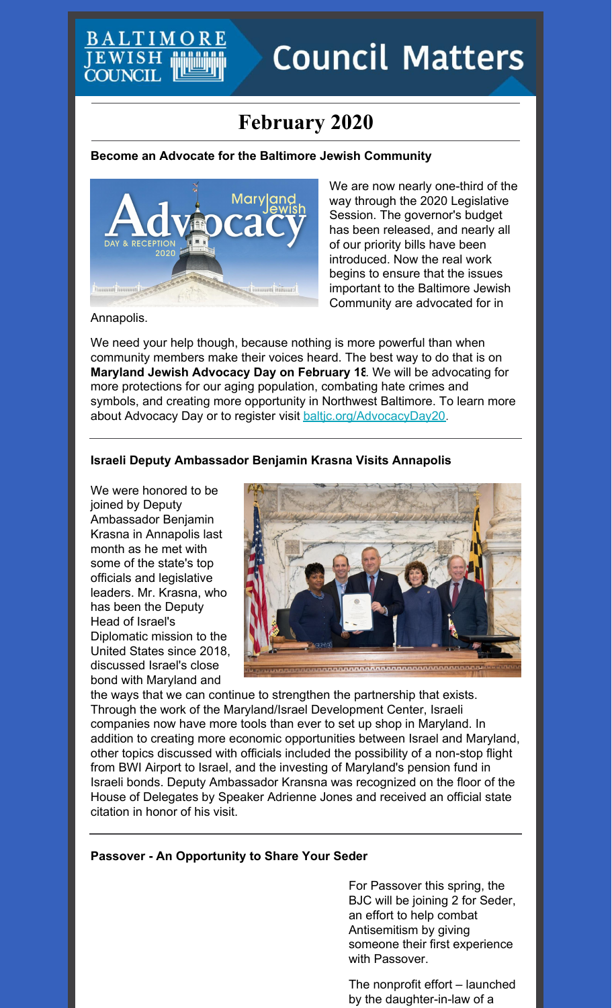# **Council Matters**

## **February 2020**

#### **Become an Advocate for the Baltimore Jewish Community**



We are now nearly one-third of the way through the 2020 Legislative Session. The governor's budget has been released, and nearly all of our priority bills have been introduced. Now the real work begins to ensure that the issues important to the Baltimore Jewish Community are advocated for in

Annapolis.

EWISH **YOUNCIL** 

We need your help though, because nothing is more powerful than when community members make their voices heard. The best way to do that is on **Maryland Jewish Advocacy Day on February 18**. We will be advocating for more protections for our aging population, combating hate crimes and symbols, and creating more opportunity in Northwest Baltimore. To learn more about Advocacy Day or to register visit baltic.org/AdvocacyDay20.

#### **Israeli Deputy Ambassador Benjamin Krasna Visits Annapolis**

We were honored to be joined by Deputy Ambassador Benjamin Krasna in Annapolis last month as he met with some of the state's top officials and legislative leaders. Mr. Krasna, who has been the Deputy Head of Israel's Diplomatic mission to the United States since 2018, discussed Israel's close bond with Maryland and



the ways that we can continue to strengthen the partnership that exists. Through the work of the Maryland/Israel Development Center, Israeli companies now have more tools than ever to set up shop in Maryland. In addition to creating more economic opportunities between Israel and Maryland, other topics discussed with officials included the possibility of a non-stop flight from BWI Airport to Israel, and the investing of Maryland's pension fund in Israeli bonds. Deputy Ambassador Kransna was recognized on the floor of the House of Delegates by Speaker Adrienne Jones and received an official state citation in honor of his visit.

#### **Passover - An Opportunity to Share Your Seder**

For Passover this spring, the BJC will be joining 2 for Seder, an effort to help combat Antisemitism by giving someone their first experience with Passover.

The nonprofit effort – launched by the daughter-in-law of a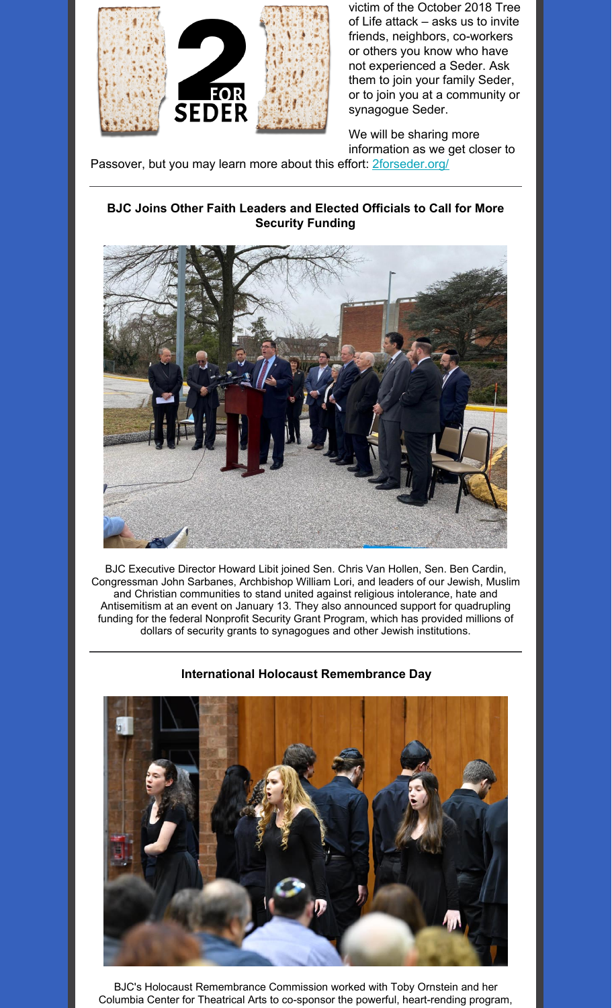

victim of the October 2018 Tree of Life attack – asks us to invite friends, neighbors, co-workers or others you know who have not experienced a Seder. Ask them to join your family Seder, or to join you at a community or synagogue Seder.

We will be sharing more information as we get closer to

Passover, but you may learn more about this effort: **[2forseder.org/](https://2forseder.org/)** 

#### **BJC Joins Other Faith Leaders and Elected Officials to Call for More Security Funding**



BJC Executive Director Howard Libit joined Sen. Chris Van Hollen, Sen. Ben Cardin, Congressman John Sarbanes, Archbishop William Lori, and leaders of our Jewish, Muslim and Christian communities to stand united against religious intolerance, hate and Antisemitism at an event on January 13. They also announced support for quadrupling funding for the federal Nonprofit Security Grant Program, which has provided millions of dollars of security grants to synagogues and other Jewish institutions.

#### **International Holocaust Remembrance Day**



BJC's Holocaust Remembrance Commission worked with Toby Ornstein and her Columbia Center for Theatrical Arts to co-sponsor the powerful, heart-rending program,